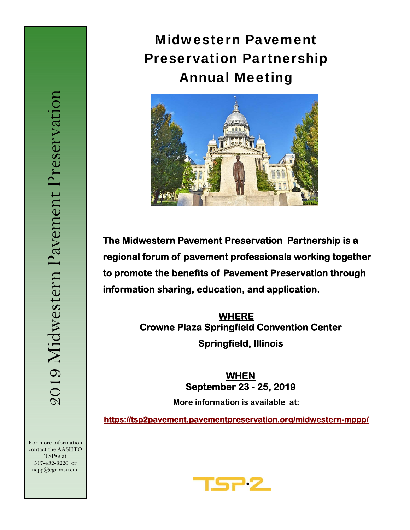# Midwestern Pavement Preservation Partnership Annual Meeting



**The Midwestern Pavement Preservation Partnership is a regional forum of pavement professionals working together to promote the benefits of Pavement Preservation through information sharing, education, and application.** 

> **WHERE Crowne Plaza Springfield Convention Center Springfield, Illinois**

> > **WHEN September 23 - 25, 2019**

**More information is available at:** 

**https://tsp2pavement.pavementpreservation.org/midwestern-mppp/** 

For more information contact the AASHTO TSP•2 at 517-432-8220 or ncpp@egr.msu.edu

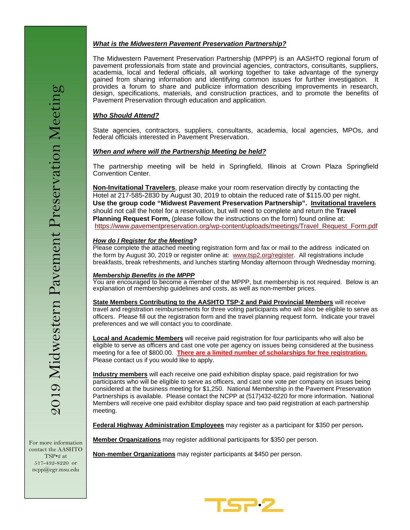## *What is the Midwestern Pavement Preservation Partnership?*

The Midwestern Pavement Preservation Partnership (MPPP) is an AASHTO regional forum of pavement professionals from state and provincial agencies, contractors, consultants, suppliers, academia, local and federal officials, all working together to take advantage of the synergy gained from sharing information and identifying common issues for further investigation. It provides a forum to share and publicize information describing improvements in research, design, specifications, materials, and construction practices, and to promote the benefits of Pavement Preservation through education and application.

# *Who Should Attend?*

State agencies, contractors, suppliers, consultants, academia, local agencies, MPOs, and federal officials interested in Pavement Preservation.

## *When and where will the Partnership Meeting be held?*

The partnership meeting will be held in Springfield, Illinois at Crown Plaza Springfield Convention Center.

**Non-Invitational Travelers**, please make your room reservation directly by contacting the Hotel at 217-585-2830 by August 30, 2019 to obtain the reduced rate of \$115.00 per night. **Use the group code "Midwest Pavement Preservation Partnership". Invitational travelers**  should not call the hotel for a reservation, but will need to complete and return the **Travel Planning Request Form,** (please follow the instructions on the form) found online at: https://www.pavementpreservation.org/wp-content/uploads/meetings/Travel\_Request\_Form.pdf

### *How do I Register for the Meeting?*

Please complete the attached meeting registration form and fax or mail to the address indicated on the form by August 30, 2019 or register online at: www.tsp2.org/register. All registrations include breakfasts, break refreshments, and lunches starting Monday afternoon through Wednesday morning.

### *Membership Benefits in the MPPP*

You are encouraged to become a member of the MPPP, but membership is not required. Below is an explanation of membership guidelines and costs, as well as non-member prices.

**State Members Contributing to the AASHTO TSP·2 and Paid Provincial Members** will receive travel and registration reimbursements for three voting participants who will also be eligible to serve as officers. Please fill out the registration form and the travel planning request form. Indicate your travel preferences and we will contact you to coordinate.

**Local and Academic Members** will receive paid registration for four participants who will also be eligible to serve as officers and cast one vote per agency on issues being considered at the business meeting for a fee of \$800.00. **There are a limited number of scholarships for free registration.**  Please contact us if you would like to apply.

**Industry members** will each receive one paid exhibition display space, paid registration for two participants who will be eligible to serve as officers, and cast one vote per company on issues being considered at the business meeting for \$1,250. National Membership in the Pavement Preservation Partnerships is available. Please contact the NCPP at (517)432-8220 for more information. National Members will receive one paid exhibitor display space and two paid registration at each partnership meeting.

**Federal Highway Administration Employees** may register as a participant for \$350 per person**.** 

**Member Organizations** may register additional participants for \$350 per person.

**Non-member Organizations** may register participants at \$450 per person.

For more information contact the AASHTO TSP•2 at 517-432-8220 or ncpp@egr.msu.edu

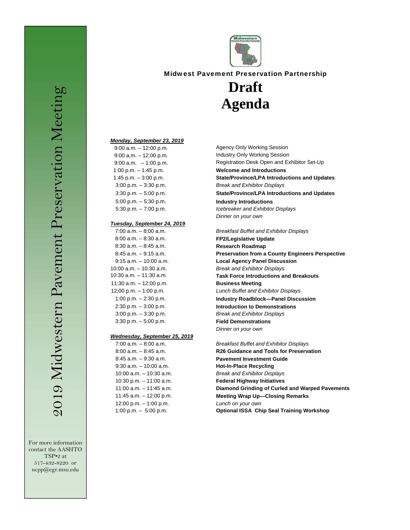For more information contact the AASHTO TSP•2 at 517-432-8220 or ncpp@egr.msu.edu



# Midwest Pavement Preservation Partnership

# **Draft Agenda**

#### *Monday, September 23, 2019*

| $9:00$ a.m. $-12:00$ p.m. |
|---------------------------|
| $9:00$ a.m. $-12:00$ p.m. |
| $9:00$ a.m. $-1:00$ p.m.  |
| 1:00 p.m. $-$ 1:45 p.m.   |
| 1:45 p.m. $-3:00$ p.m.    |
| $3:00$ p.m. $-3:30$ p.m.  |
| $3:30$ p.m. $-5:00$ p.m.  |
| $5:00$ p.m. $-5:30$ p.m.  |
| $5:30$ p.m. $-7:00$ p.m.  |

#### *Tuesday, September 24, 2019*

| 7:00 a.m. - 8:00 a.m.     |
|---------------------------|
| $8:00$ a.m. $-8:30$ a.m.  |
| $8:30$ a.m. $-8:45$ a.m.  |
| $8:45$ a.m. $-9:15$ a.m.  |
| 9:15 a.m. - 10:00 a.m.    |
| $0:00$ a.m. $-10:30$ a.m. |
| $0:30$ a.m. $-11:30$ a.m. |
| l 1:30 a.m. – 12:00 p.m.  |
| 12:00 p.m. - 1:00 p.m.    |
| 1:00 p.m. $-$ 2:30 p.m.   |
| $2:30$ p.m. $-3:00$ p.m.  |
| $3:00$ p.m. $-3:30$ p.m.  |
| $3:30$ p.m. $-5:00$ p.m.  |

#### *Wednesday, September 25, 2019*

| $7:00$ a.m. $-8:00$ a.m.   |
|----------------------------|
| 8:00 a.m. - 8:45 a.m.      |
| 8:45 a.m. - 9:30 a.m.      |
| 9:30 a.m. - 10:00 a.m.     |
| $10:00$ a.m. $-10:30$ a.m. |
| 10:30 p.m. $-11:00$ a.m.   |
| $11:00$ a.m. $-11:45$ a.m. |
| 11:45 a.m. - 12:00 p.m.    |
| 12:00 p.m. $-$ 1:00 p.m.   |
| 1:00 p.m. $-5:00$ p.m.     |
|                            |

Agency Only Working Session Industry Only Working Session Registration Desk Open and Exhibitor Set-Up

**Welcome and Introductions State/Province/LPA Introductions and Updates** 3:00 p.m. – 3:30 p.m. *Break and Exhibitor Displays*

**State/Province/LPA Introductions and Updates** 5:00 p.m. – 5:30 p.m. **Industry Introductions**

5:30 p.m. – 7:00 p.m. *Icebreaker and Exhibitor Displays Dinner on your own*

7:00 a.m. – 8:00 a.m. *Breakfast Buffet and Exhibitor Displays* 8:00 a.m. – 8:30 a.m. **FP2/Legislative Update** 8:30 a.m. – 8:45 a.m. **Research Roadmap Preservation from a County Engineers Perspective Local Agency Panel Discussion** 10:00 a.m. – 10:30 a.m. *Break and Exhibitor Displays* 10:30 a.m. – 11:30 a.m. **Task Force Introductions and Breakouts Business Meeting** 12:00 p.m. – 1:00 p.m. *Lunch Buffet and Exhibitor Displays* Industry Roadblock--Panel Discussion **Introduction to Demonstrations** 3:00 p.m. – 3:30 p.m. *Break and Exhibitor Displays* 3:30 p.m. – 5:00 p.m. **Field Demonstrations** *Dinner on your own*

> 7:00 a.m. – 8:00 a.m. *Breakfast Buffet and Exhibitor Displays* **R26 Guidance and Tools for Preservation Pavement Investment Guide** 9:30 a.m. – 10:00 a.m. **Hot-In-Place Recycling** 10:00 a.m. – 10:30 a.m. *Break and Exhibitor Displays* **Federal Highway Initiatives Diamond Grinding of Curled and Warped Pavements** Lunch on your own Meeting Wrap Up-Closing Remarks **Optional ISSA Chip Seal Training Workshop**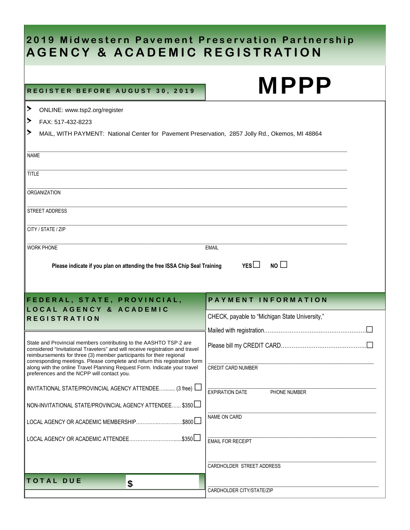# **2019 Midwestern Pavement Preservation Partnership AGENCY & ACADEMIC REGISTRATION**

# REGISTER BEFORE AUGUST 30, 2019

TOTAL DUE 5

| <b>REGISTER BEFORE AUGUST 30, 2019</b>                                                                                                                                                                                                                                                                                                                                                                                                                                                                                                                                                                                                                                                                      | <b>MPPP</b>                                                                                                                                                                                     |  |  |  |
|-------------------------------------------------------------------------------------------------------------------------------------------------------------------------------------------------------------------------------------------------------------------------------------------------------------------------------------------------------------------------------------------------------------------------------------------------------------------------------------------------------------------------------------------------------------------------------------------------------------------------------------------------------------------------------------------------------------|-------------------------------------------------------------------------------------------------------------------------------------------------------------------------------------------------|--|--|--|
| ≻<br>ONLINE: www.tsp2.org/register<br>▶<br>FAX: 517-432-8223<br>≻<br>MAIL, WITH PAYMENT: National Center for Pavement Preservation, 2857 Jolly Rd., Okemos, MI 48864                                                                                                                                                                                                                                                                                                                                                                                                                                                                                                                                        |                                                                                                                                                                                                 |  |  |  |
| <b>NAME</b><br><b>TITLE</b><br><b>ORGANIZATION</b><br><b>STREET ADDRESS</b><br>CITY / STATE / ZIP<br><b>WORK PHONE</b><br><b>EMAIL</b><br>NO<br>YES<br>Please indicate if you plan on attending the free ISSA Chip Seal Training                                                                                                                                                                                                                                                                                                                                                                                                                                                                            |                                                                                                                                                                                                 |  |  |  |
| FEDERAL, STATE, PROVINCIAL,<br><b>LOCAL AGENCY &amp; ACADEMIC</b><br><b>REGISTRATION</b><br>State and Provincial members contributing to the AASHTO TSP-2 are<br>considered "Invitational Travelers" and will receive registration and travel<br>reimbursements for three (3) member participants for their regional<br>corresponding meetings. Please complete and return this registration form<br>along with the online Travel Planning Request Form. Indicate your travel<br>preferences and the NCPP will contact you.<br>INVITATIONAL STATE/PROVINCIAL AGENCY ATTENDEE (3 free)<br>NON-INVITATIONAL STATE/PROVINCIAL AGENCY ATTENDEE \$350<br>$.$ \$800 $\Box$<br>LOCAL AGENCY OR ACADEMIC MEMBERSHIP | <b>PAYMENT INFORMATION</b><br>CHECK, payable to "Michigan State University,"<br><b>CREDIT CARD NUMBER</b><br>PHONE NUMBER<br><b>EXPIRATION DATE</b><br>NAME ON CARD<br><b>EMAIL FOR RECEIPT</b> |  |  |  |

\_\_\_\_\_\_\_\_\_\_\_\_\_\_\_\_\_\_\_\_\_\_\_\_\_\_\_\_\_\_\_\_\_\_\_\_\_\_\_\_\_\_\_\_\_\_\_\_\_\_\_\_\_\_\_\_\_\_\_\_\_\_\_\_\_\_\_\_\_\_

CARDHOLDER CITY/STATE/ZIP